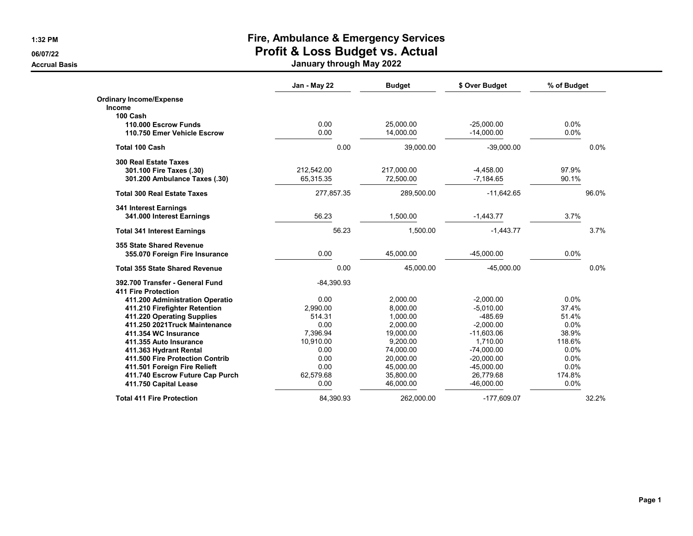## **1:32 PM Fire, Ambulance & Emergency Services 06/07/22 Profit & Loss Budget vs. Actual**

**Accrual Basis January through May 2022**

|                                       | Jan - May 22 | <b>Budget</b> | \$ Over Budget | % of Budget |       |
|---------------------------------------|--------------|---------------|----------------|-------------|-------|
| <b>Ordinary Income/Expense</b>        |              |               |                |             |       |
| <b>Income</b>                         |              |               |                |             |       |
| 100 Cash                              |              |               |                |             |       |
| 110.000 Escrow Funds                  | 0.00         | 25,000.00     | $-25,000.00$   | 0.0%        |       |
| 110.750 Emer Vehicle Escrow           | 0.00         | 14,000.00     | $-14,000.00$   | 0.0%        |       |
| <b>Total 100 Cash</b>                 | 0.00         | 39,000.00     | $-39,000.00$   |             | 0.0%  |
| <b>300 Real Estate Taxes</b>          |              |               |                |             |       |
| 301.100 Fire Taxes (.30)              | 212,542.00   | 217,000.00    | $-4,458.00$    | 97.9%       |       |
| 301.200 Ambulance Taxes (.30)         | 65,315.35    | 72,500.00     | $-7,184.65$    | 90.1%       |       |
| <b>Total 300 Real Estate Taxes</b>    | 277,857.35   | 289,500.00    | $-11,642.65$   |             | 96.0% |
| 341 Interest Earnings                 |              |               |                |             |       |
| 341.000 Interest Earnings             | 56.23        | 1,500.00      | $-1,443.77$    | 3.7%        |       |
| <b>Total 341 Interest Earnings</b>    | 56.23        | 1,500.00      | $-1,443.77$    |             | 3.7%  |
| 355 State Shared Revenue              |              |               |                |             |       |
| 355.070 Foreign Fire Insurance        | 0.00         | 45.000.00     | $-45,000.00$   | 0.0%        |       |
| <b>Total 355 State Shared Revenue</b> | 0.00         | 45,000.00     | $-45,000.00$   |             | 0.0%  |
| 392.700 Transfer - General Fund       | $-84,390.93$ |               |                |             |       |
| <b>411 Fire Protection</b>            |              |               |                |             |       |
| 411.200 Administration Operatio       | 0.00         | 2,000.00      | $-2,000.00$    | 0.0%        |       |
| 411.210 Firefighter Retention         | 2,990.00     | 8,000.00      | $-5,010.00$    | 37.4%       |       |
| 411.220 Operating Supplies            | 514.31       | 1.000.00      | $-485.69$      | 51.4%       |       |
| 411.250 2021 Truck Maintenance        | 0.00         | 2,000.00      | $-2,000.00$    | 0.0%        |       |
| 411.354 WC Insurance                  | 7,396.94     | 19,000.00     | $-11,603.06$   | 38.9%       |       |
| 411.355 Auto Insurance                | 10,910.00    | 9,200.00      | 1,710.00       | 118.6%      |       |
| 411.363 Hydrant Rental                | 0.00         | 74,000.00     | $-74.000.00$   | 0.0%        |       |
| 411.500 Fire Protection Contrib       | 0.00         | 20,000.00     | $-20.000.00$   | 0.0%        |       |
| 411.501 Foreign Fire Relieft          | 0.00         | 45,000.00     | $-45,000.00$   | 0.0%        |       |
| 411.740 Escrow Future Cap Purch       | 62,579.68    | 35,800.00     | 26,779.68      | 174.8%      |       |
| 411.750 Capital Lease                 | 0.00         | 46,000.00     | $-46,000.00$   | 0.0%        |       |
| <b>Total 411 Fire Protection</b>      | 84.390.93    | 262.000.00    | -177.609.07    |             | 32.2% |